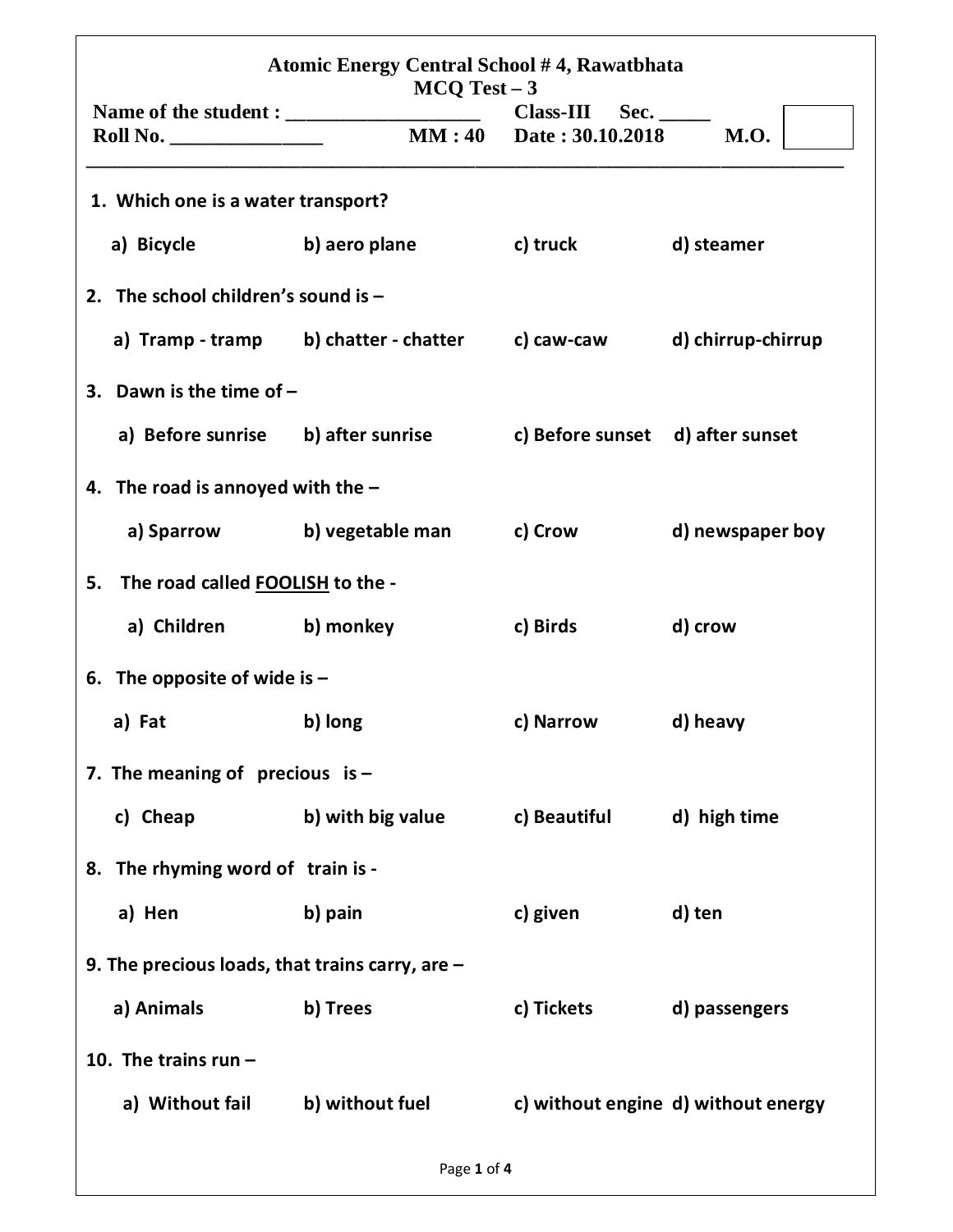| Atomic Energy Central School #4, Rawatbhata<br>$MCQ Test - 3$ |                                                                     |                                                           |                                     |  |
|---------------------------------------------------------------|---------------------------------------------------------------------|-----------------------------------------------------------|-------------------------------------|--|
| Roll No.                                                      |                                                                     | $Class-III$ Sec. _______<br><b>MM:40</b> Date: 30.10.2018 | M.O.                                |  |
| 1. Which one is a water transport?                            |                                                                     |                                                           |                                     |  |
| a) Bicycle b) aero plane                                      |                                                                     | <b>Example 1 C</b> ) truck                                | d) steamer                          |  |
| 2. The school children's sound is $-$                         |                                                                     |                                                           |                                     |  |
|                                                               | a) Tramp - tramp b) chatter - chatter c) caw-caw                    |                                                           | d) chirrup-chirrup                  |  |
| 3. Dawn is the time of $-$                                    |                                                                     |                                                           |                                     |  |
|                                                               | a) Before sunrise b) after sunrise c) Before sunset d) after sunset |                                                           |                                     |  |
| 4. The road is annoyed with the $-$                           |                                                                     |                                                           |                                     |  |
|                                                               | a) Sparrow b) vegetable man                                         | c) Crow                                                   | d) newspaper boy                    |  |
| The road called FOOLISH to the -<br>5.                        |                                                                     |                                                           |                                     |  |
| a) Children b) monkey                                         |                                                                     | c) Birds                                                  | d) crow                             |  |
| 6. The opposite of wide is $-$                                |                                                                     |                                                           |                                     |  |
| a) Fat                                                        | b) long                                                             | c) Narrow                                                 | d) heavy                            |  |
| 7. The meaning of precious is $-$                             |                                                                     |                                                           |                                     |  |
| c) Cheap                                                      | b) with big value                                                   | c) Beautiful                                              | d) high time                        |  |
| 8. The rhyming word of train is -                             |                                                                     |                                                           |                                     |  |
| a) Hen                                                        | b) pain                                                             | c) given                                                  | d) ten                              |  |
| 9. The precious loads, that trains carry, are $-$             |                                                                     |                                                           |                                     |  |
| a) Animals                                                    | b) Trees                                                            | c) Tickets                                                | d) passengers                       |  |
| 10. The trains run $-$                                        |                                                                     |                                                           |                                     |  |
| a) Without fail                                               | b) without fuel                                                     |                                                           | c) without engine d) without energy |  |
|                                                               | Page 1 of 4                                                         |                                                           |                                     |  |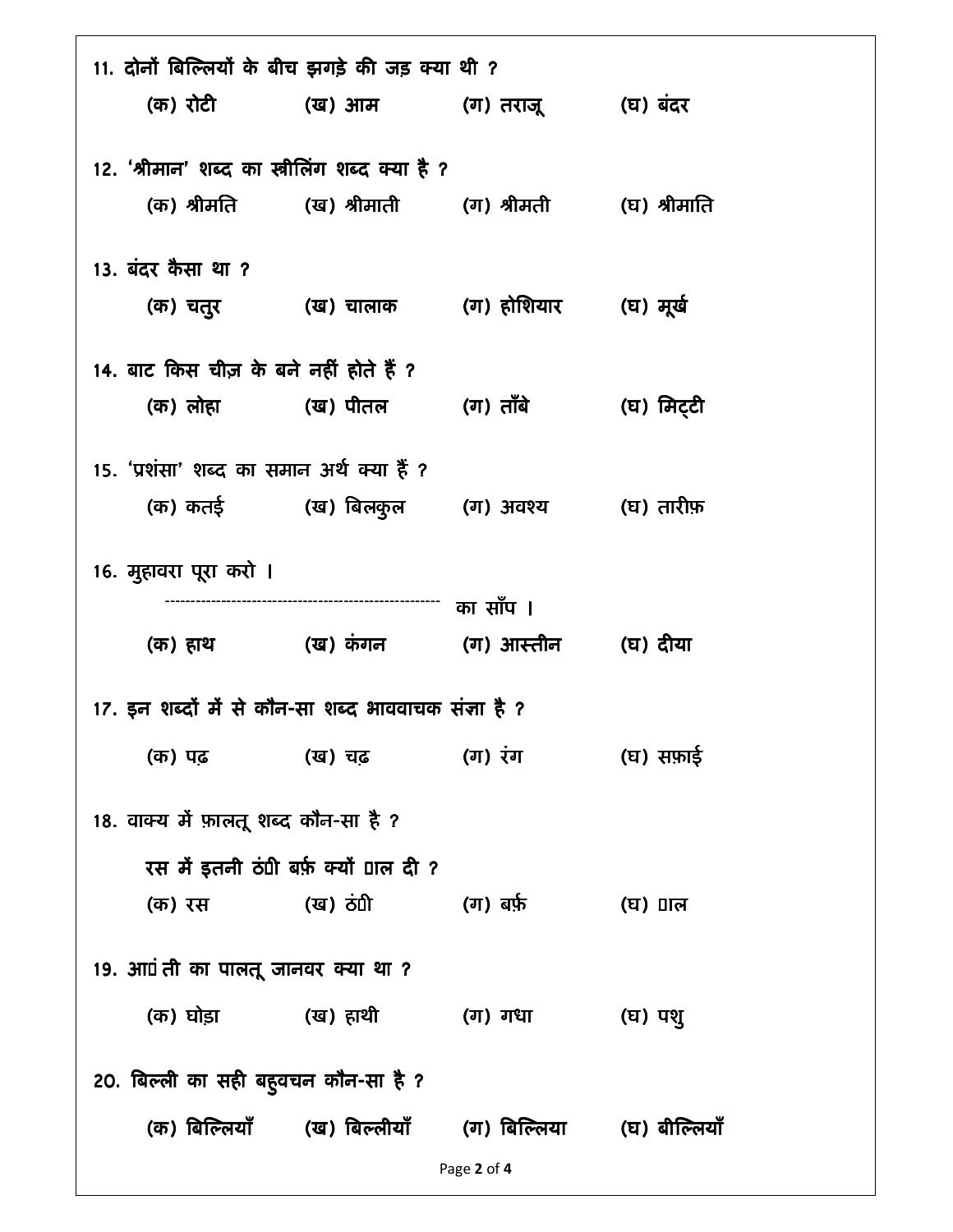| 11. दोनों बिल्लियों के बीच झगड़े की जड़ क्या थी ?    |                                                                       |                                 |            |  |
|------------------------------------------------------|-----------------------------------------------------------------------|---------------------------------|------------|--|
|                                                      | (क) रोटी (ख) आम (ग) तराजू (घ) बंदर                                    |                                 |            |  |
| 12. 'श्रीमान' शब्द का स्त्रीलिंग शब्द क्या है ?      |                                                                       |                                 |            |  |
|                                                      | (क) श्रीमति        (ख) श्रीमाती       (ग) श्रीमती        (घ) श्रीमाति |                                 |            |  |
|                                                      |                                                                       |                                 |            |  |
| 13. बंदर कैसा था ?                                   |                                                                       |                                 |            |  |
|                                                      | (क) चतुर           (ख) चालाक       (ग) होशियार       (घ) मूर्ख        |                                 |            |  |
| 14. बाट किस चीज़ के बने नहीं होते हैं ?              |                                                                       |                                 |            |  |
|                                                      | (क) लोहा           (ख) पीतल         (ग) ताँबे                         |                                 | (घ) मिट्टी |  |
| 15. 'प्रशंसा' शब्द का समान अर्थ क्या हैं ?           |                                                                       |                                 |            |  |
|                                                      | (क) कतई (ख) बिलकुल (ग) अवश्य (घ) तारीफ़                               |                                 |            |  |
|                                                      |                                                                       |                                 |            |  |
| 16. मुहावरा पूरा करो ।                               |                                                                       |                                 |            |  |
|                                                      |                                                                       |                                 |            |  |
|                                                      | (क) हाथ             (ख) कंगन         (ग) आस्तीन       (घ) दीया        |                                 |            |  |
| 17. इन शब्दों में से कौन-सा शब्द भाववाचक संज्ञा है ? |                                                                       |                                 |            |  |
|                                                      | (क) पढ़ (ख) चढ़ (ग) रंग                                               |                                 | (घ) सफ़ाई  |  |
| 18. वाक्य में फ़ालतू शब्द कौन-सा है ?                |                                                                       |                                 |            |  |
|                                                      |                                                                       |                                 |            |  |
|                                                      | रस में इतनी ठंपी बर्फ़ क्यों पाल दी ?                                 |                                 |            |  |
| (क) रस                                               | (ख) ठंपी                                                              | (ग) बर्फ़                       | (घ) ∏ल     |  |
| 19. आएं ती का पालतू जानवर क्या था ?                  |                                                                       |                                 |            |  |
|                                                      | (क) घोड़ा           (ख) हाथी                                          | (ग) गधा                         | (घ) पशु    |  |
| 20. बिल्ली का सही बहुवचन कौन-सा है ?                 |                                                                       |                                 |            |  |
|                                                      | (क) बिल्लियाँ (ख) बिल्लीयाँ                                           | (ग) बिल्लिया      (घ) बील्लियाँ |            |  |
|                                                      |                                                                       | Page 2 of 4                     |            |  |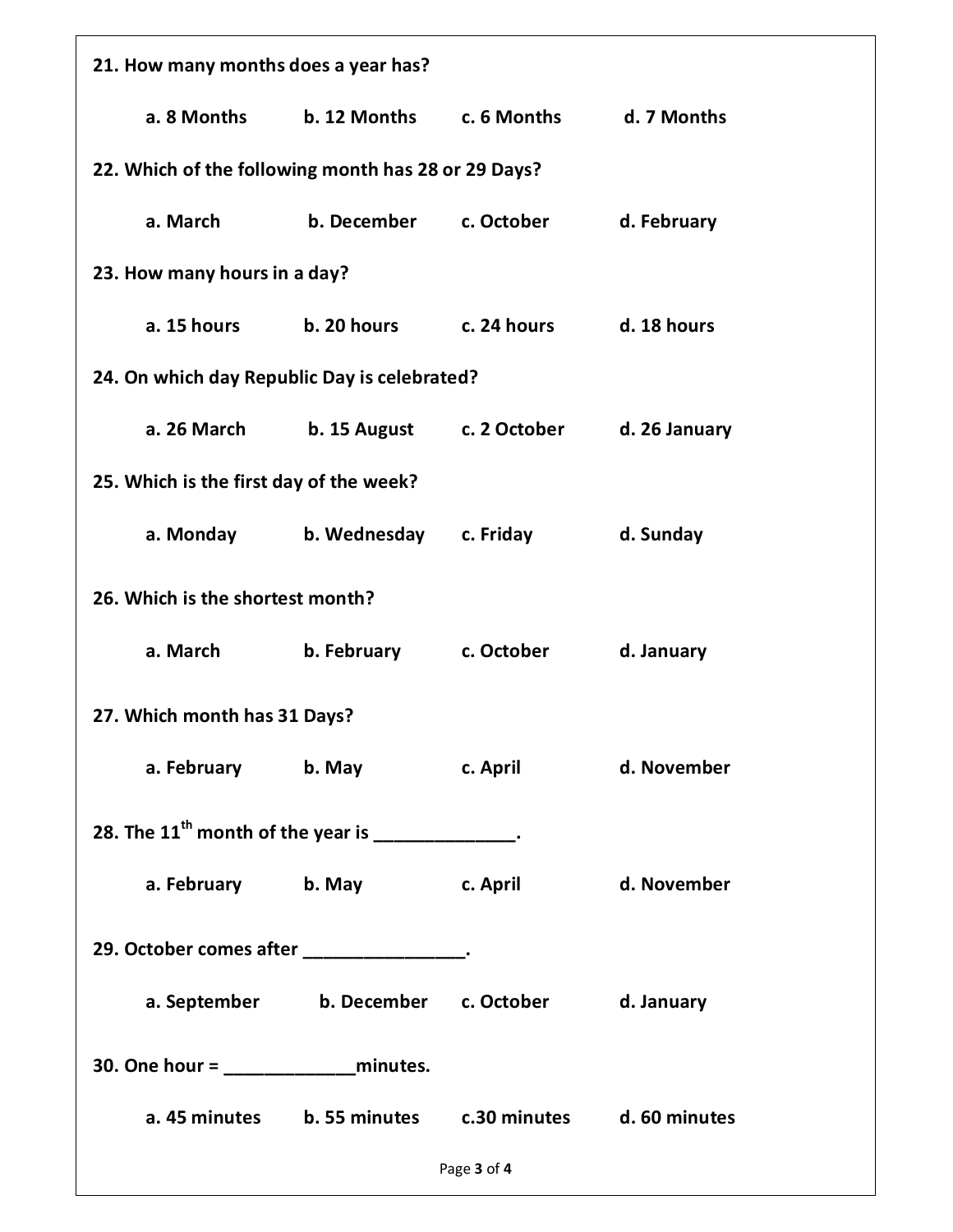| 21. How many months does a year has?               |                                                        |              |               |  |  |
|----------------------------------------------------|--------------------------------------------------------|--------------|---------------|--|--|
| a. 8 Months                                        | b. 12 Months                                           | c. 6 Months  | d. 7 Months   |  |  |
|                                                    | 22. Which of the following month has 28 or 29 Days?    |              |               |  |  |
| a. March                                           | b. December                                            | c. October   | d. February   |  |  |
| 23. How many hours in a day?                       |                                                        |              |               |  |  |
| a. 15 hours                                        | b. 20 hours                                            | c. 24 hours  | d. 18 hours   |  |  |
| 24. On which day Republic Day is celebrated?       |                                                        |              |               |  |  |
| a. 26 March                                        | b. 15 August                                           | c. 2 October | d. 26 January |  |  |
| 25. Which is the first day of the week?            |                                                        |              |               |  |  |
| a. Monday                                          | b. Wednesday                                           | c. Friday    | d. Sunday     |  |  |
| 26. Which is the shortest month?                   |                                                        |              |               |  |  |
| a. March                                           | b. February                                            | c. October   | d. January    |  |  |
| 27. Which month has 31 Days?                       |                                                        |              |               |  |  |
|                                                    | a. February b. May c. April                            |              | d. November   |  |  |
| 28. The $11th$ month of the year is _____________. |                                                        |              |               |  |  |
|                                                    | a. February b. May c. April                            |              | d. November   |  |  |
| 29. October comes after ________________.          |                                                        |              |               |  |  |
|                                                    | a. September b. December c. October                    |              | d. January    |  |  |
| 30. One hour = $\frac{1}{2}$ minutes.              |                                                        |              |               |  |  |
|                                                    | a. 45 minutes b. 55 minutes c.30 minutes d. 60 minutes |              |               |  |  |
|                                                    |                                                        | Page 3 of 4  |               |  |  |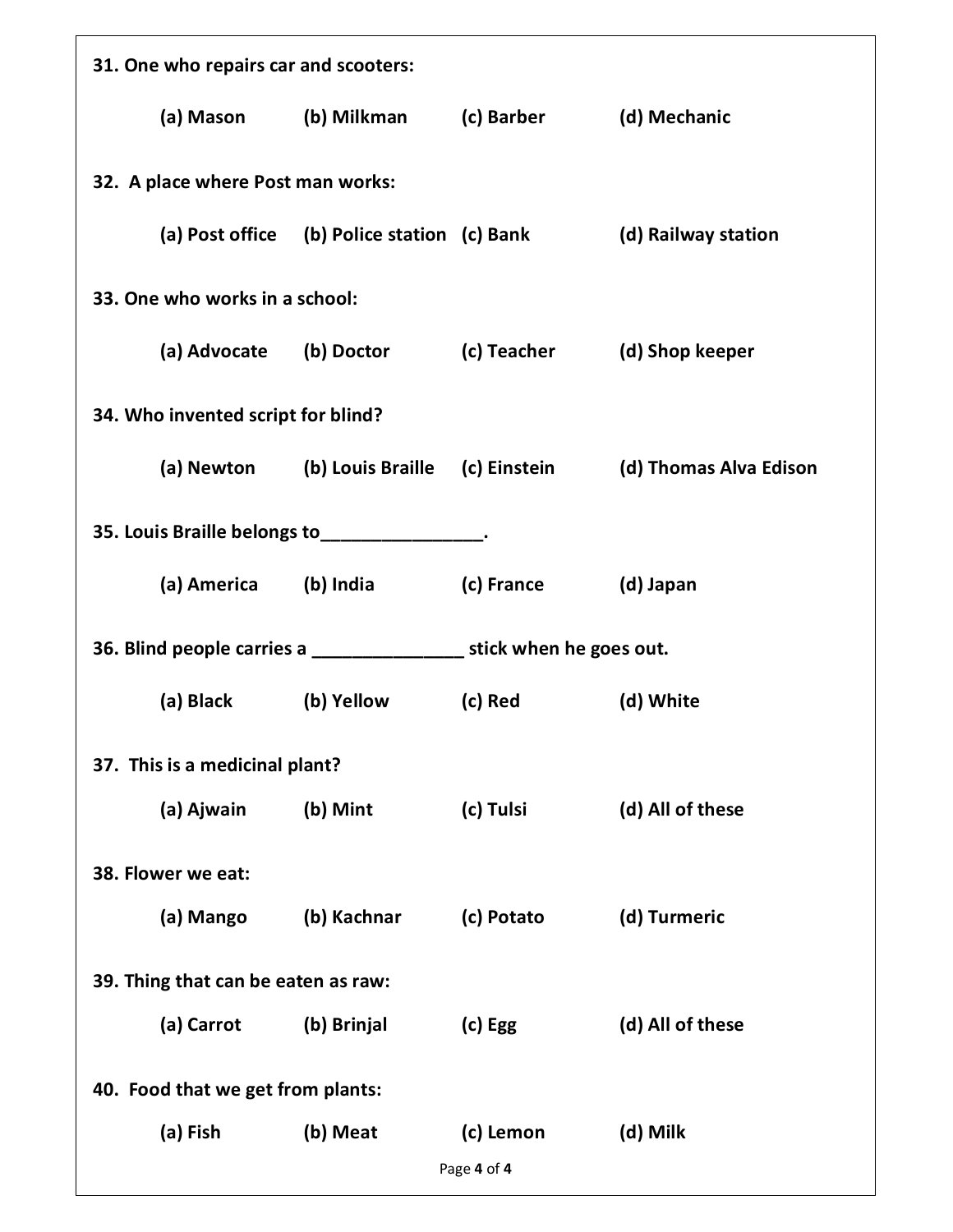| 31. One who repairs car and scooters: |                                    |                                                     |            |                                                                         |  |
|---------------------------------------|------------------------------------|-----------------------------------------------------|------------|-------------------------------------------------------------------------|--|
|                                       |                                    | (a) Mason (b) Milkman (c) Barber (d) Mechanic       |            |                                                                         |  |
|                                       | 32. A place where Post man works:  |                                                     |            |                                                                         |  |
|                                       |                                    | (a) Post office (b) Police station (c) Bank         |            | (d) Railway station                                                     |  |
|                                       | 33. One who works in a school:     |                                                     |            |                                                                         |  |
|                                       |                                    | (a) Advocate (b) Doctor (c) Teacher (d) Shop keeper |            |                                                                         |  |
|                                       | 34. Who invented script for blind? |                                                     |            |                                                                         |  |
|                                       |                                    |                                                     |            | (a) Newton (b) Louis Braille (c) Einstein (d) Thomas Alva Edison        |  |
|                                       |                                    | 35. Louis Braille belongs to _______________.       |            |                                                                         |  |
|                                       | (a) America (b) India              |                                                     | (c) France | (d) Japan                                                               |  |
|                                       |                                    |                                                     |            | 36. Blind people carries a ____________________ stick when he goes out. |  |
|                                       | (a) Black                          | (b) Yellow                                          | (c) Red    | (d) White                                                               |  |
|                                       | 37. This is a medicinal plant?     |                                                     |            |                                                                         |  |
|                                       | (a) Ajwain                         | (b) Mint                                            | (c) Tulsi  | (d) All of these                                                        |  |
|                                       | 38. Flower we eat:                 |                                                     |            |                                                                         |  |
|                                       | (a) Mango                          | (b) Kachnar                                         | (c) Potato | (d) Turmeric                                                            |  |
| 39. Thing that can be eaten as raw:   |                                    |                                                     |            |                                                                         |  |
|                                       | (a) Carrot                         | (b) Brinjal                                         | $(c)$ Egg  | (d) All of these                                                        |  |
|                                       | 40. Food that we get from plants:  |                                                     |            |                                                                         |  |
|                                       | (a) Fish                           | (b) Meat                                            | (c) Lemon  | (d) Milk                                                                |  |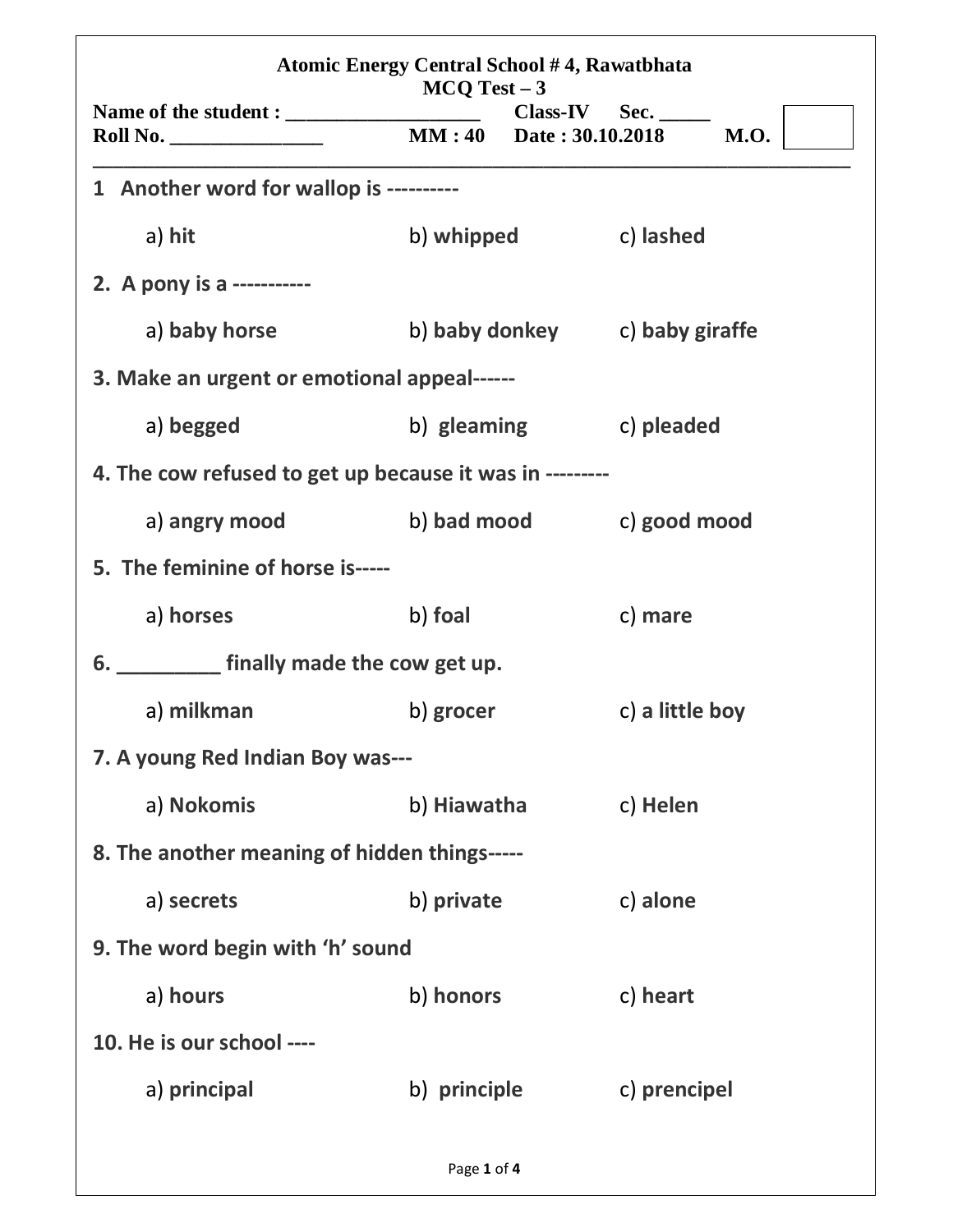|                                                         | $MCQ Test - 3$ |                                |                 |  |
|---------------------------------------------------------|----------------|--------------------------------|-----------------|--|
|                                                         |                |                                |                 |  |
| 1 Another word for wallop is ---------                  |                |                                |                 |  |
| a) hit                                                  |                | b) whipped c) lashed           |                 |  |
| 2. A pony is a -----------                              |                |                                |                 |  |
| a) baby horse                                           |                | b) baby donkey c) baby giraffe |                 |  |
| 3. Make an urgent or emotional appeal------             |                |                                |                 |  |
| a) begged                                               |                | b) gleaming                    | c) pleaded      |  |
| 4. The cow refused to get up because it was in -------- |                |                                |                 |  |
| a) angry mood b) bad mood c) good mood                  |                |                                |                 |  |
| 5. The feminine of horse is-----                        |                |                                |                 |  |
| a) horses                                               | b) foal        |                                | c) mare         |  |
| 6. ____________ finally made the cow get up.            |                |                                |                 |  |
| a) milkman                                              | b) grocer      |                                | c) a little boy |  |
| 7. A young Red Indian Boy was---                        |                |                                |                 |  |
| a) Nokomis                                              | b) Hiawatha    |                                | c) Helen        |  |
| 8. The another meaning of hidden things-----            |                |                                |                 |  |
| a) secrets                                              | b) private     |                                | c) alone        |  |
| 9. The word begin with 'h' sound                        |                |                                |                 |  |
| a) hours                                                | b) honors      |                                | c) heart        |  |
| 10. He is our school ----                               |                |                                |                 |  |
| a) principal                                            | b) principle   |                                | c) prencipel    |  |
|                                                         | Page 1 of 4    |                                |                 |  |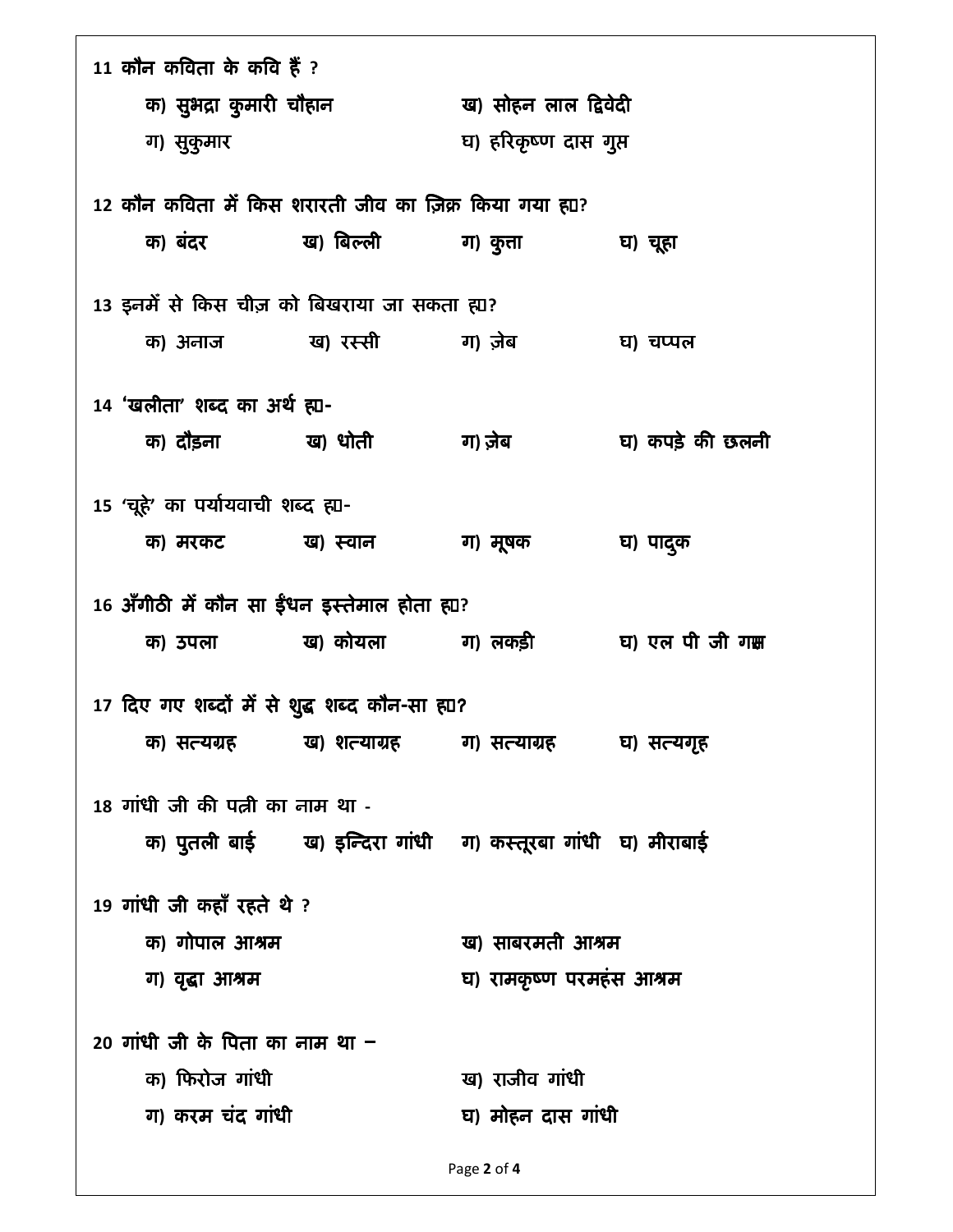| क) सुभद्रा कुमारी चौहान<br>ख) सोहन लाल द्विवेदी<br>घ) हरिकृष्ण दास गुप्त<br>ग) सुकुमार<br>12 कौन कविता में किस शरारती जीव का ज़िक्र किया गया ह्या?<br>घ) चूहा<br>13 इनमें से किस चीज़ को बिखराया जा सकता ह्या?<br>घ) चप्पल<br>14 'खलीता' शब्द का अर्थ ह्य-<br>घ) कपड़े की छलनी<br>15 'चूहे' का पर्यायवाची शब्द ह्या-<br>ग) मूषक<br>क) मरकट ख) स्वान<br>घ) पाद्क<br>16 अँगीठी में कौन सा ईंधन इस्तेमाल होता ह्या?<br>क) उपला          ख) कोयला         ग) लकड़ी          घ) एल पी जी गक्ष<br>17 दिए गए शब्दों में से शुद्ध शब्द कौन-सा ह्या?<br>क) सत्यग्रह          ख) शत्याग्रह         ग) सत्याग्रह         घ) सत्यगृह<br>18 गांधी जी की पत्नी का नाम था -<br>क) पुतली बाई ख) इन्दिरा गांधी ज) कस्तूरबा गांधी घ) मीराबाई<br>19 गांधी जी कहाँ रहते थे ?<br>क) गोपाल आश्रम<br>ख) साबरमती आश्रम<br>घ) रामकृष्ण परमहंस आश्रम<br>ग) वृद्धा आश्रम<br>20 गांधी जी के पिता का नाम था $-$<br>क) फिरोज गांधी<br>ख) राजीव गांधी<br>ग) करम चंद गांधी<br>घ) मोहन दास गांधी | 11 कौन कविता के कवि हैं ? |  |  |  |
|-----------------------------------------------------------------------------------------------------------------------------------------------------------------------------------------------------------------------------------------------------------------------------------------------------------------------------------------------------------------------------------------------------------------------------------------------------------------------------------------------------------------------------------------------------------------------------------------------------------------------------------------------------------------------------------------------------------------------------------------------------------------------------------------------------------------------------------------------------------------------------------------------------------------------------------------------------------------|---------------------------|--|--|--|
|                                                                                                                                                                                                                                                                                                                                                                                                                                                                                                                                                                                                                                                                                                                                                                                                                                                                                                                                                                 |                           |  |  |  |
|                                                                                                                                                                                                                                                                                                                                                                                                                                                                                                                                                                                                                                                                                                                                                                                                                                                                                                                                                                 |                           |  |  |  |
|                                                                                                                                                                                                                                                                                                                                                                                                                                                                                                                                                                                                                                                                                                                                                                                                                                                                                                                                                                 |                           |  |  |  |
|                                                                                                                                                                                                                                                                                                                                                                                                                                                                                                                                                                                                                                                                                                                                                                                                                                                                                                                                                                 |                           |  |  |  |
|                                                                                                                                                                                                                                                                                                                                                                                                                                                                                                                                                                                                                                                                                                                                                                                                                                                                                                                                                                 |                           |  |  |  |
|                                                                                                                                                                                                                                                                                                                                                                                                                                                                                                                                                                                                                                                                                                                                                                                                                                                                                                                                                                 |                           |  |  |  |
|                                                                                                                                                                                                                                                                                                                                                                                                                                                                                                                                                                                                                                                                                                                                                                                                                                                                                                                                                                 |                           |  |  |  |
|                                                                                                                                                                                                                                                                                                                                                                                                                                                                                                                                                                                                                                                                                                                                                                                                                                                                                                                                                                 |                           |  |  |  |
|                                                                                                                                                                                                                                                                                                                                                                                                                                                                                                                                                                                                                                                                                                                                                                                                                                                                                                                                                                 |                           |  |  |  |
|                                                                                                                                                                                                                                                                                                                                                                                                                                                                                                                                                                                                                                                                                                                                                                                                                                                                                                                                                                 |                           |  |  |  |
|                                                                                                                                                                                                                                                                                                                                                                                                                                                                                                                                                                                                                                                                                                                                                                                                                                                                                                                                                                 |                           |  |  |  |
|                                                                                                                                                                                                                                                                                                                                                                                                                                                                                                                                                                                                                                                                                                                                                                                                                                                                                                                                                                 |                           |  |  |  |
|                                                                                                                                                                                                                                                                                                                                                                                                                                                                                                                                                                                                                                                                                                                                                                                                                                                                                                                                                                 |                           |  |  |  |
|                                                                                                                                                                                                                                                                                                                                                                                                                                                                                                                                                                                                                                                                                                                                                                                                                                                                                                                                                                 |                           |  |  |  |
|                                                                                                                                                                                                                                                                                                                                                                                                                                                                                                                                                                                                                                                                                                                                                                                                                                                                                                                                                                 |                           |  |  |  |
|                                                                                                                                                                                                                                                                                                                                                                                                                                                                                                                                                                                                                                                                                                                                                                                                                                                                                                                                                                 |                           |  |  |  |
|                                                                                                                                                                                                                                                                                                                                                                                                                                                                                                                                                                                                                                                                                                                                                                                                                                                                                                                                                                 |                           |  |  |  |
|                                                                                                                                                                                                                                                                                                                                                                                                                                                                                                                                                                                                                                                                                                                                                                                                                                                                                                                                                                 |                           |  |  |  |
|                                                                                                                                                                                                                                                                                                                                                                                                                                                                                                                                                                                                                                                                                                                                                                                                                                                                                                                                                                 |                           |  |  |  |
|                                                                                                                                                                                                                                                                                                                                                                                                                                                                                                                                                                                                                                                                                                                                                                                                                                                                                                                                                                 |                           |  |  |  |
|                                                                                                                                                                                                                                                                                                                                                                                                                                                                                                                                                                                                                                                                                                                                                                                                                                                                                                                                                                 |                           |  |  |  |
|                                                                                                                                                                                                                                                                                                                                                                                                                                                                                                                                                                                                                                                                                                                                                                                                                                                                                                                                                                 |                           |  |  |  |
|                                                                                                                                                                                                                                                                                                                                                                                                                                                                                                                                                                                                                                                                                                                                                                                                                                                                                                                                                                 |                           |  |  |  |
|                                                                                                                                                                                                                                                                                                                                                                                                                                                                                                                                                                                                                                                                                                                                                                                                                                                                                                                                                                 |                           |  |  |  |
|                                                                                                                                                                                                                                                                                                                                                                                                                                                                                                                                                                                                                                                                                                                                                                                                                                                                                                                                                                 |                           |  |  |  |
|                                                                                                                                                                                                                                                                                                                                                                                                                                                                                                                                                                                                                                                                                                                                                                                                                                                                                                                                                                 |                           |  |  |  |
|                                                                                                                                                                                                                                                                                                                                                                                                                                                                                                                                                                                                                                                                                                                                                                                                                                                                                                                                                                 |                           |  |  |  |
|                                                                                                                                                                                                                                                                                                                                                                                                                                                                                                                                                                                                                                                                                                                                                                                                                                                                                                                                                                 |                           |  |  |  |

Page 2 of 4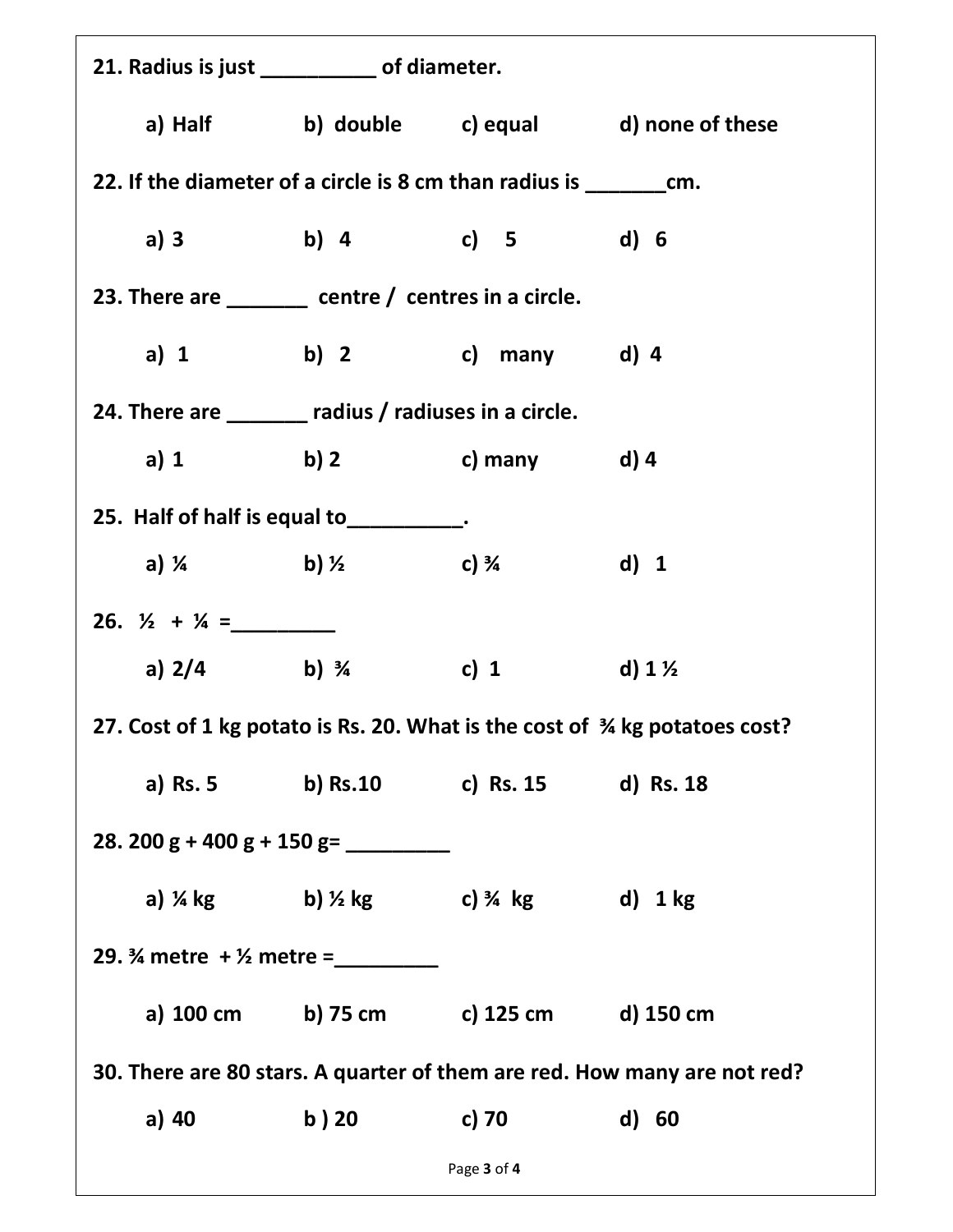| 21. Radius is just ___________ of diameter.                                                                                                                                                                                                                                                                                                                                                                           |                                                                     |             |                                                                          |
|-----------------------------------------------------------------------------------------------------------------------------------------------------------------------------------------------------------------------------------------------------------------------------------------------------------------------------------------------------------------------------------------------------------------------|---------------------------------------------------------------------|-------------|--------------------------------------------------------------------------|
|                                                                                                                                                                                                                                                                                                                                                                                                                       |                                                                     |             | a) Half b) double c) equal d) none of these                              |
| 22. If the diameter of a circle is 8 cm than radius is _________________________                                                                                                                                                                                                                                                                                                                                      |                                                                     |             |                                                                          |
| a) 3                                                                                                                                                                                                                                                                                                                                                                                                                  | b) 4 c) 5 d) 6                                                      |             |                                                                          |
| 23. There are $\frac{1}{\sqrt{1-\frac{1}{\sqrt{1-\frac{1}{\sqrt{1-\frac{1}{\sqrt{1-\frac{1}{\sqrt{1-\frac{1}{\sqrt{1-\frac{1}{\sqrt{1-\frac{1}{\sqrt{1-\frac{1}{\sqrt{1-\frac{1}{\sqrt{1-\frac{1}{\sqrt{1-\frac{1}{\sqrt{1-\frac{1}{\sqrt{1-\frac{1}{\sqrt{1-\frac{1}{\sqrt{1-\frac{1}{\sqrt{1-\frac{1}{\sqrt{1-\frac{1}{\sqrt{1-\frac{1}{\sqrt{1-\frac{1}{\sqrt{1-\frac{1}{\sqrt{1-\frac{1}{\sqrt{1-\frac{1}{\sqrt{$ |                                                                     |             |                                                                          |
|                                                                                                                                                                                                                                                                                                                                                                                                                       | a) 1 b) 2 c) many d) 4                                              |             |                                                                          |
| 24. There are _______ radius / radiuses in a circle.                                                                                                                                                                                                                                                                                                                                                                  |                                                                     |             |                                                                          |
| a) 1                                                                                                                                                                                                                                                                                                                                                                                                                  | b) 2 c) many d) 4                                                   |             |                                                                          |
| 25. Half of half is equal to __________.                                                                                                                                                                                                                                                                                                                                                                              |                                                                     |             |                                                                          |
|                                                                                                                                                                                                                                                                                                                                                                                                                       | a) $\frac{1}{4}$ b) $\frac{1}{2}$ c) $\frac{3}{4}$                  |             | d) 1                                                                     |
| 26. $\frac{1}{2} + \frac{1}{4} =$                                                                                                                                                                                                                                                                                                                                                                                     |                                                                     |             |                                                                          |
|                                                                                                                                                                                                                                                                                                                                                                                                                       | a) $2/4$ b) $\frac{3}{4}$                                           | c) 1        | d) 1 $\frac{1}{2}$                                                       |
| 27. Cost of 1 kg potato is Rs. 20. What is the cost of 34 kg potatoes cost?                                                                                                                                                                                                                                                                                                                                           |                                                                     |             |                                                                          |
|                                                                                                                                                                                                                                                                                                                                                                                                                       | a) Rs. 5 b) Rs. 10 c) Rs. 15 d) Rs. 18                              |             |                                                                          |
|                                                                                                                                                                                                                                                                                                                                                                                                                       |                                                                     |             |                                                                          |
|                                                                                                                                                                                                                                                                                                                                                                                                                       | a) $\frac{1}{4}$ kg b) $\frac{1}{2}$ kg c) $\frac{3}{4}$ kg d) 1 kg |             |                                                                          |
| 29. $\frac{3}{4}$ metre + $\frac{1}{2}$ metre =                                                                                                                                                                                                                                                                                                                                                                       |                                                                     |             |                                                                          |
|                                                                                                                                                                                                                                                                                                                                                                                                                       | a) 100 cm b) 75 cm c) 125 cm d) 150 cm                              |             |                                                                          |
|                                                                                                                                                                                                                                                                                                                                                                                                                       |                                                                     |             | 30. There are 80 stars. A quarter of them are red. How many are not red? |
| a) 40                                                                                                                                                                                                                                                                                                                                                                                                                 | b ) 20                                                              | c) 70       | d) 60                                                                    |
|                                                                                                                                                                                                                                                                                                                                                                                                                       |                                                                     | Page 3 of 4 |                                                                          |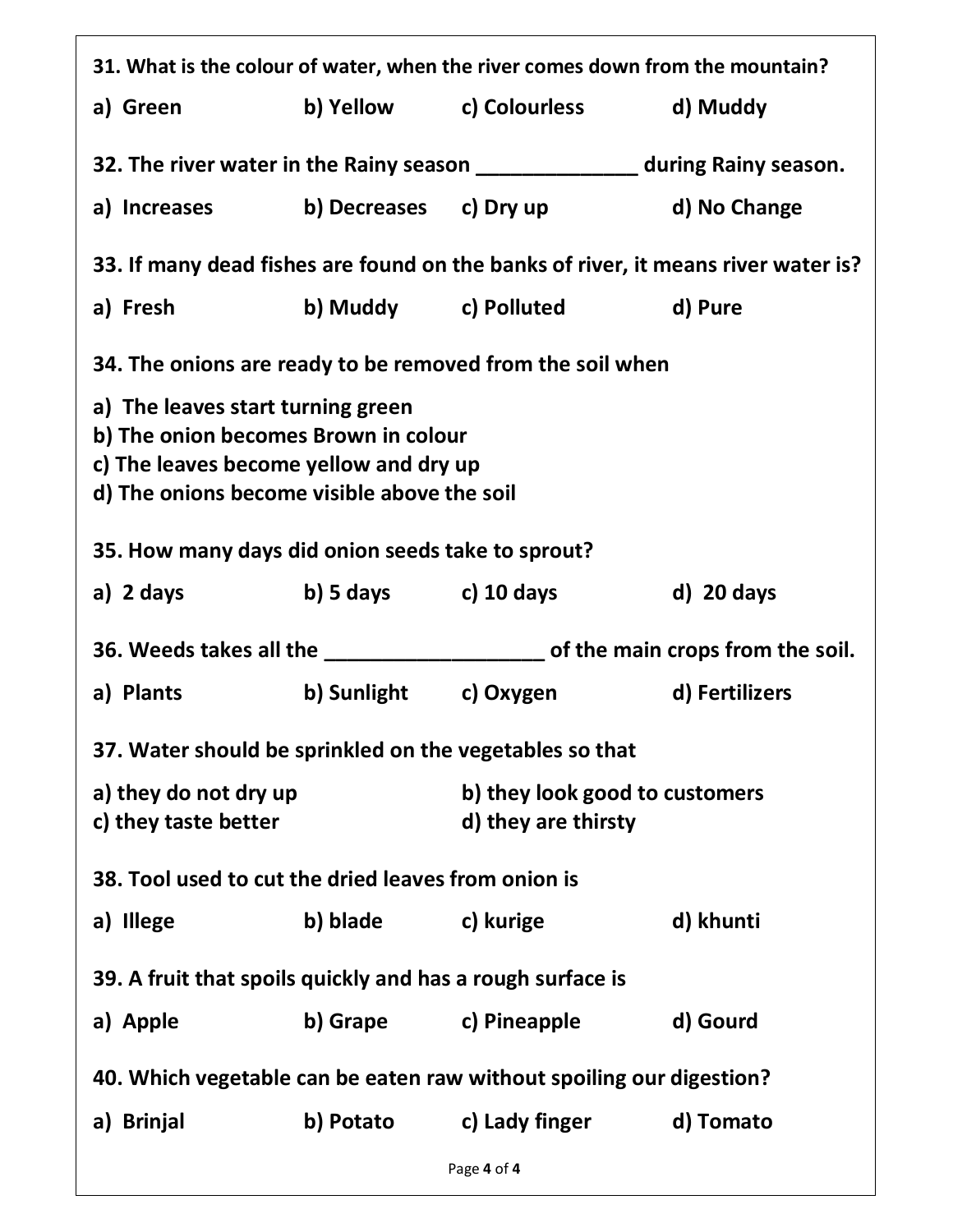| 31. What is the colour of water, when the river comes down from the mountain?                                                                                      |                       |                                                                                  |              |  |
|--------------------------------------------------------------------------------------------------------------------------------------------------------------------|-----------------------|----------------------------------------------------------------------------------|--------------|--|
| a) Green                                                                                                                                                           |                       |                                                                                  |              |  |
| 32. The river water in the Rainy season ________________ during Rainy season.                                                                                      |                       |                                                                                  |              |  |
|                                                                                                                                                                    |                       | a) Increases b) Decreases c) Dry up d) No Change                                 |              |  |
| 33. If many dead fishes are found on the banks of river, it means river water is?                                                                                  |                       |                                                                                  |              |  |
| a) Fresh                                                                                                                                                           |                       |                                                                                  |              |  |
|                                                                                                                                                                    |                       | 34. The onions are ready to be removed from the soil when                        |              |  |
| a) The leaves start turning green<br>b) The onion becomes Brown in colour<br>c) The leaves become yellow and dry up<br>d) The onions become visible above the soil |                       |                                                                                  |              |  |
| 35. How many days did onion seeds take to sprout?                                                                                                                  |                       |                                                                                  |              |  |
| a) 2 days b) 5 days c) 10 days                                                                                                                                     |                       |                                                                                  | $d)$ 20 days |  |
|                                                                                                                                                                    |                       |                                                                                  |              |  |
|                                                                                                                                                                    |                       | 36. Weeds takes all the _______________________ of the main crops from the soil. |              |  |
| a) Plants                                                                                                                                                          |                       | b) Sunlight c) Oxygen d) Fertilizers                                             |              |  |
| 37. Water should be sprinkled on the vegetables so that                                                                                                            |                       |                                                                                  |              |  |
| a) they do not dry up<br>c) they taste better                                                                                                                      |                       | b) they look good to customers<br>d) they are thirsty                            |              |  |
| 38. Tool used to cut the dried leaves from onion is                                                                                                                |                       |                                                                                  |              |  |
| a) Illege                                                                                                                                                          | b) blade c) kurige    |                                                                                  | d) khunti    |  |
| 39. A fruit that spoils quickly and has a rough surface is                                                                                                         |                       |                                                                                  |              |  |
| a) Apple                                                                                                                                                           | b) Grape c) Pineapple |                                                                                  | d) Gourd     |  |
|                                                                                                                                                                    |                       | 40. Which vegetable can be eaten raw without spoiling our digestion?             |              |  |
| a) Brinjal                                                                                                                                                         | b) Potato             | c) Lady finger                                                                   | d) Tomato    |  |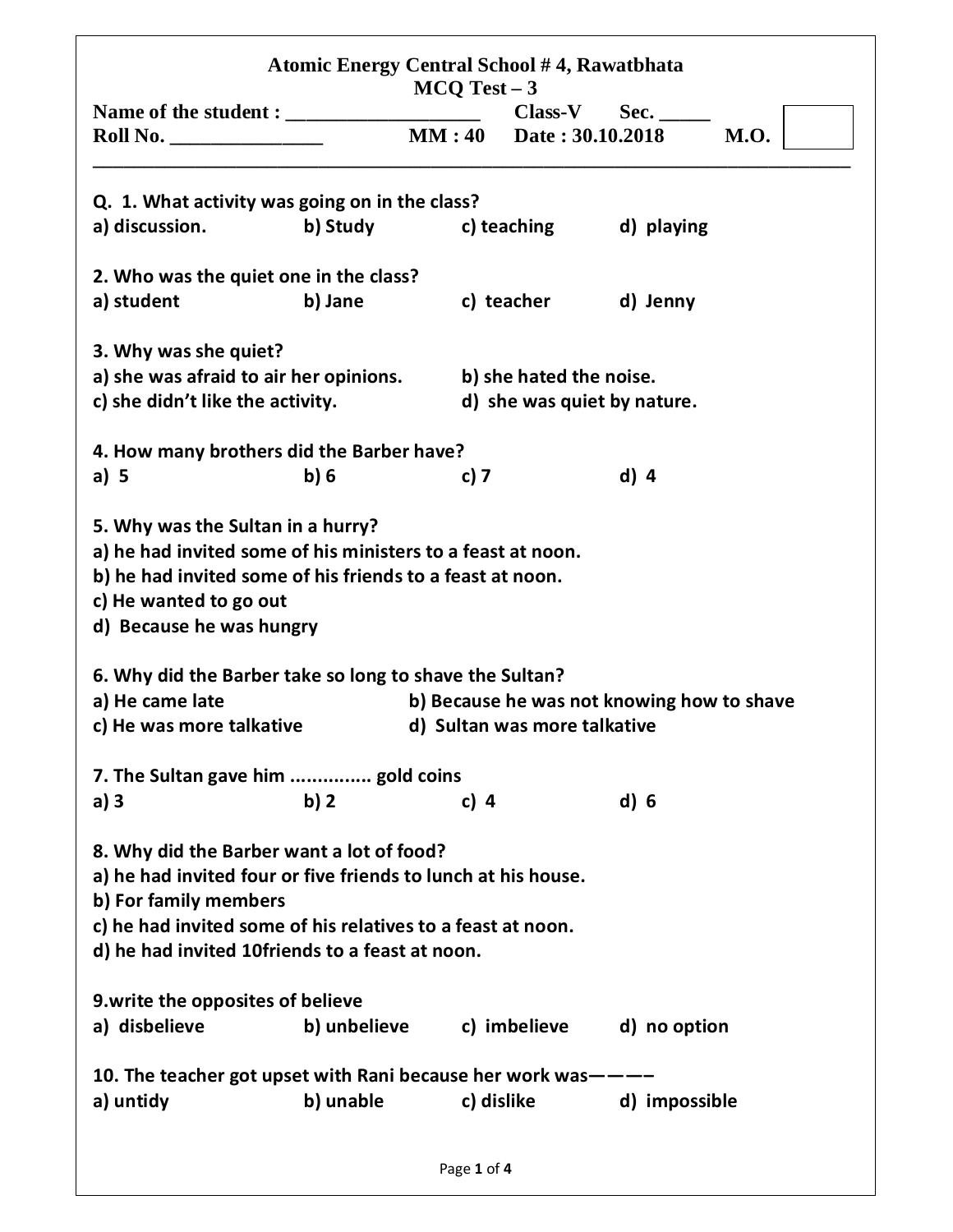| Q. 1. What activity was going on in the class?<br>a) discussion.<br>b) Study<br>2. Who was the quiet one in the class?<br>b) Jane<br>a) student<br>3. Why was she quiet?                                                                              |             |                              | <b>MM:40</b> Date: 30.10.2018<br><b>M.O.</b><br>c) teaching d) playing |
|-------------------------------------------------------------------------------------------------------------------------------------------------------------------------------------------------------------------------------------------------------|-------------|------------------------------|------------------------------------------------------------------------|
|                                                                                                                                                                                                                                                       |             |                              |                                                                        |
|                                                                                                                                                                                                                                                       |             |                              |                                                                        |
|                                                                                                                                                                                                                                                       |             |                              |                                                                        |
|                                                                                                                                                                                                                                                       |             |                              |                                                                        |
|                                                                                                                                                                                                                                                       |             |                              |                                                                        |
|                                                                                                                                                                                                                                                       |             |                              | c) teacher d) Jenny                                                    |
|                                                                                                                                                                                                                                                       |             |                              |                                                                        |
| a) she was afraid to air her opinions.                                                                                                                                                                                                                |             | b) she hated the noise.      |                                                                        |
| c) she didn't like the activity.                                                                                                                                                                                                                      |             |                              | d) she was quiet by nature.                                            |
| 4. How many brothers did the Barber have?                                                                                                                                                                                                             |             |                              |                                                                        |
| a) $5$<br>b)6                                                                                                                                                                                                                                         | c) 7        |                              | $d)$ 4                                                                 |
| 6. Why did the Barber take so long to shave the Sultan?<br>a) He came late<br>c) He was more talkative                                                                                                                                                |             | d) Sultan was more talkative | b) Because he was not knowing how to shave                             |
| 7. The Sultan gave him  gold coins                                                                                                                                                                                                                    |             |                              |                                                                        |
| b)2<br>a) $3$                                                                                                                                                                                                                                         | c) $4$      |                              | d) 6                                                                   |
| 8. Why did the Barber want a lot of food?<br>a) he had invited four or five friends to lunch at his house.<br>b) For family members<br>c) he had invited some of his relatives to a feast at noon.<br>d) he had invited 10friends to a feast at noon. |             |                              |                                                                        |
| 9. write the opposites of believe                                                                                                                                                                                                                     |             |                              |                                                                        |
| a) disbelieve                                                                                                                                                                                                                                         |             |                              | b) unbelieve c) imbelieve d) no option                                 |
| 10. The teacher got upset with Rani because her work was———                                                                                                                                                                                           |             |                              |                                                                        |
| b) unable<br>a) untidy                                                                                                                                                                                                                                |             | c) dislike                   | d) impossible                                                          |
|                                                                                                                                                                                                                                                       | Page 1 of 4 |                              |                                                                        |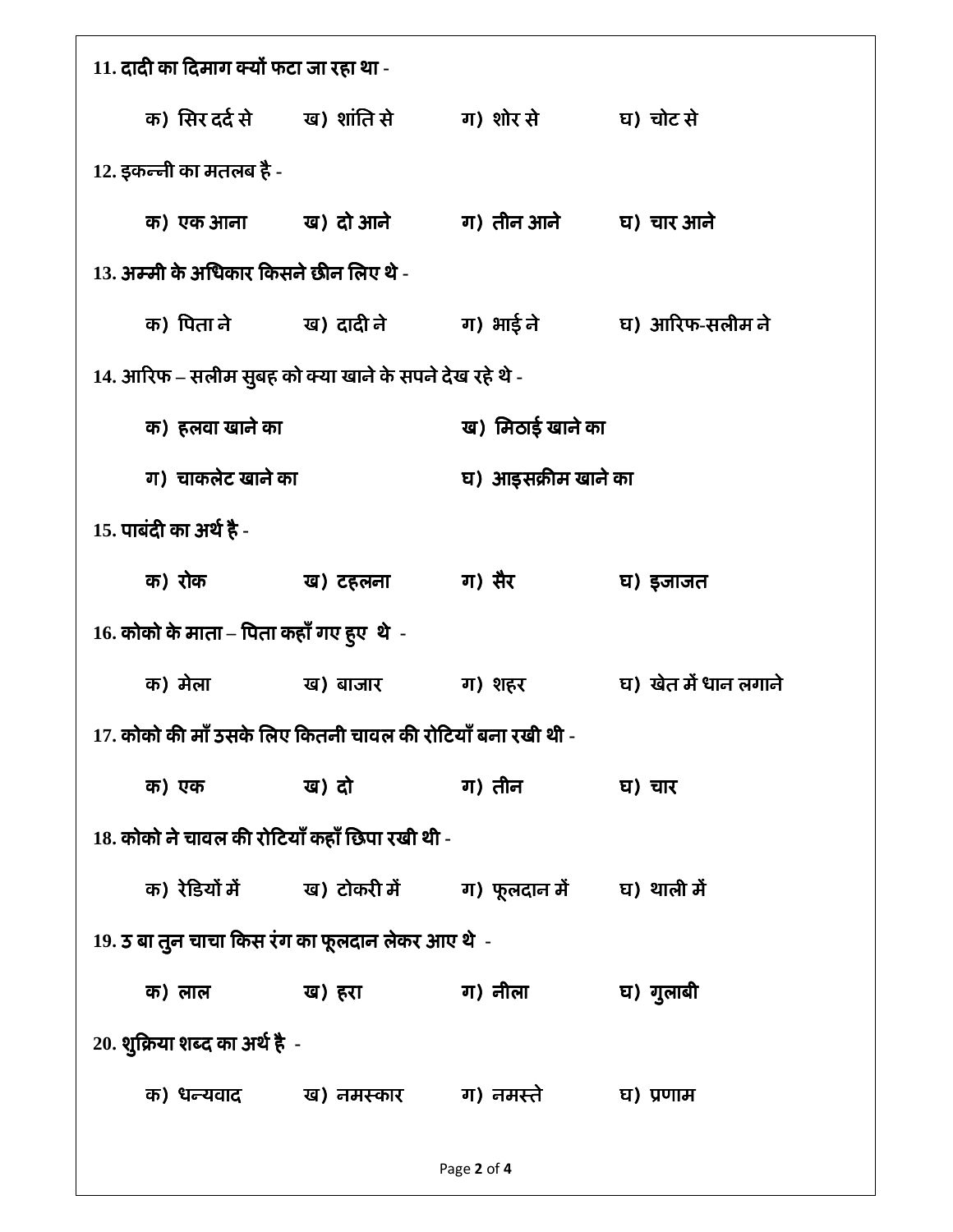| 11. दादी का दिमाग क्यों फटा जा रहा था -                     |                                          |                                                                                   |                     |                                                 |
|-------------------------------------------------------------|------------------------------------------|-----------------------------------------------------------------------------------|---------------------|-------------------------------------------------|
|                                                             |                                          | क) सिर दर्द से ख) शांति से ग) शोर से घ) चोट से                                    |                     |                                                 |
|                                                             | 12. इकन्नी का मतलब है -                  |                                                                                   |                     |                                                 |
|                                                             |                                          | क) एक आना ख) दो आने ग) तीन आने घ) चार आने                                         |                     |                                                 |
|                                                             | 13. अम्मी के अधिकार किसने छीन लिए थे -   |                                                                                   |                     |                                                 |
|                                                             |                                          |                                                                                   |                     | क) पिता ने ख) दादी ने ग) भाई ने घ) आरिफ-सलीम ने |
|                                                             |                                          | 14. आरिफ – सलीम सुबह को क्या खाने के सपने देख रहे थे -                            |                     |                                                 |
|                                                             | क) हलवा खाने का                          |                                                                                   | ख) मिठाई खाने का    |                                                 |
|                                                             | ग) चाकलेट खाने का                        |                                                                                   | घ) आइसक्रीम खाने का |                                                 |
|                                                             | 15. पाबंदी का अर्थ है -                  |                                                                                   |                     |                                                 |
|                                                             | क) रोक                                   | ख) टहलना वा) सैर                                                                  |                     | घ) इजाजत                                        |
|                                                             | 16. कोको के माता – पिता कहाँ गए हुए थे)- |                                                                                   |                     |                                                 |
|                                                             |                                          | क) मेला - ख) बाजार - ग) शहर                                                       |                     | घ) खेत में धान लगाने                            |
| 17. कोको की माँ उसके लिए कितनी चावल की रोटियाँ बना रखी थी - |                                          |                                                                                   |                     |                                                 |
|                                                             |                                          | क) एक ख) दो बा) तीन घ) चार                                                        |                     |                                                 |
| 18. कोको ने चावल की रोटियाँ कहाँ छिपा रखी थी -              |                                          |                                                                                   |                     |                                                 |
|                                                             |                                          | क) रेडियों में            ख) टोकरी में           ग) फूलदान में        घ) थाली में |                     |                                                 |
| 19. उ बा तुन चाचा किस रंग का फूलदान लेकर आए थे -            |                                          |                                                                                   |                     |                                                 |
|                                                             |                                          | क) लाल ख) हरा - ग) नीला                                                           |                     | घ) गुलाबी                                       |
| 20. शुक्रिया शब्द का अर्थ है -                              |                                          |                                                                                   |                     |                                                 |
|                                                             |                                          | क) धन्यवाद ख) नमस्कार वा) नमस्ते घ) प्रणाम                                        |                     |                                                 |
|                                                             |                                          |                                                                                   |                     |                                                 |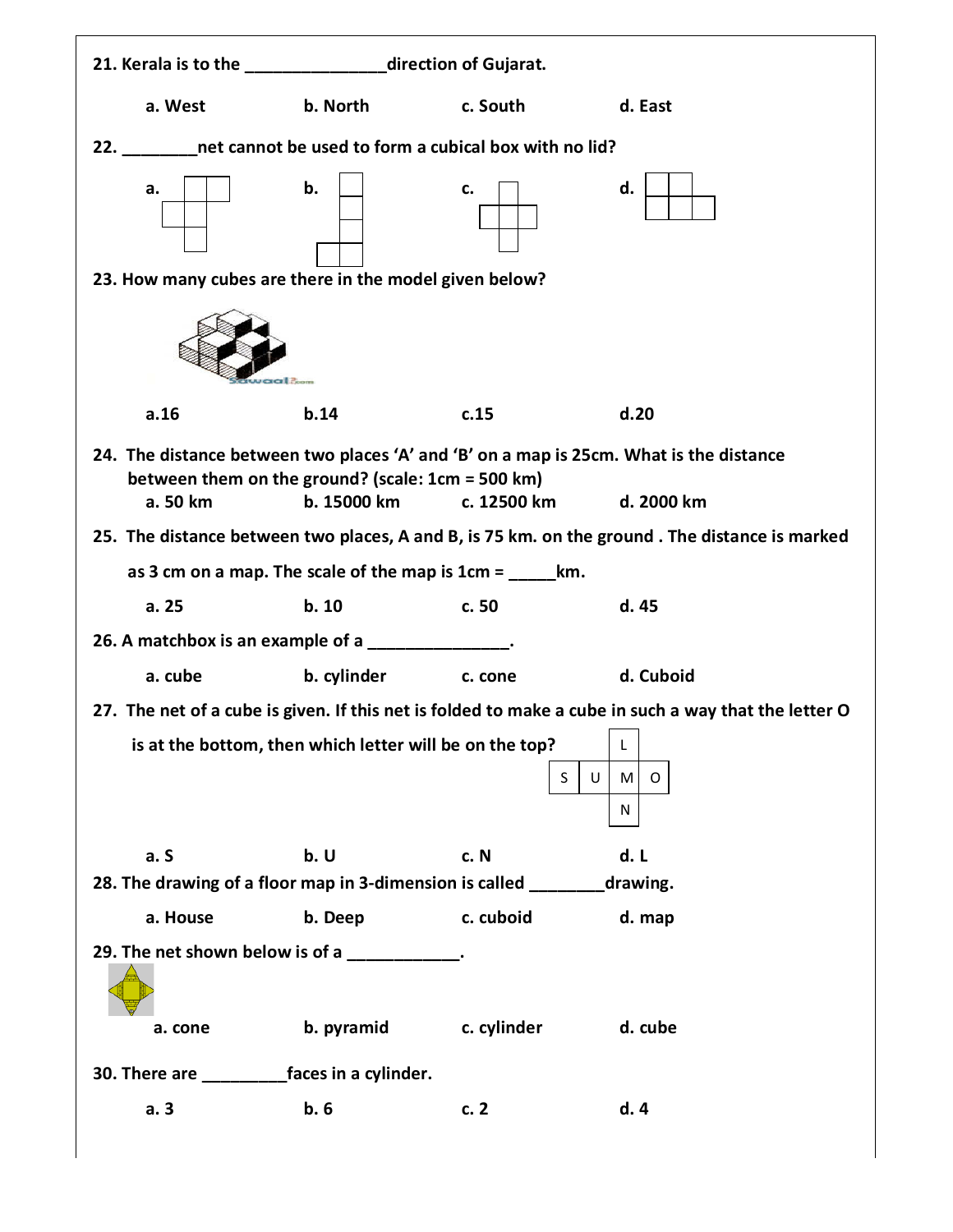